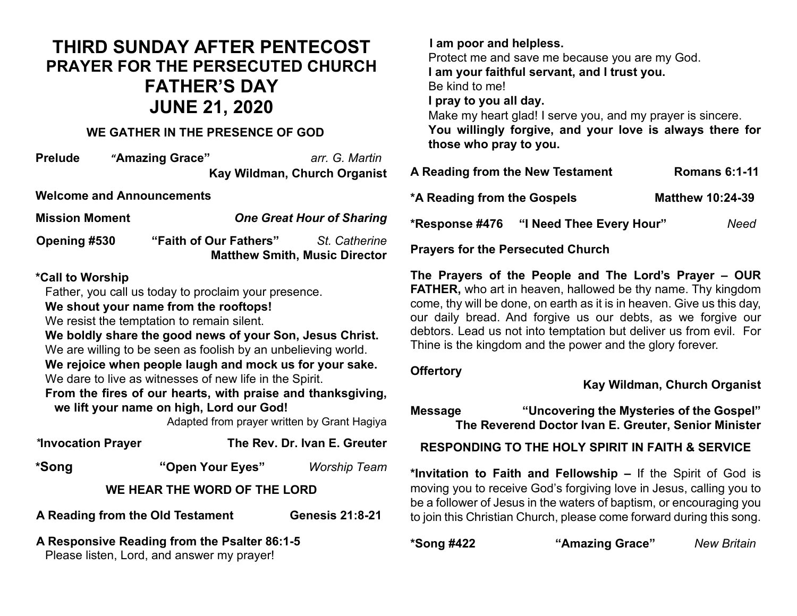# **THIRD SUNDAY AFTER PENTECOST PRAYER FOR THE PERSECUTED CHURCH FATHER'S DAY JUNE 21, 2020**

#### **WE GATHER IN THE PRESENCE OF GOD**

**Prelude "Amazing Grace"** *arr. G. Martin* **Kay Wildman, Church Organist**

**Welcome and Announcements**

| <b>Mission Moment</b> | <b>One Great Hour of Sharing</b> |                                                       |
|-----------------------|----------------------------------|-------------------------------------------------------|
| Opening #530          | "Faith of Our Fathers"           | St. Catherine<br><b>Matthew Smith, Music Director</b> |

#### **\*Call to Worship**

Father, you call us today to proclaim your presence.

**We shout your name from the rooftops!**

We resist the temptation to remain silent.

**We boldly share the good news of your Son, Jesus Christ.** We are willing to be seen as foolish by an unbelieving world.

**We rejoice when people laugh and mock us for your sake.** We dare to live as witnesses of new life in the Spirit.

**From the fires of our hearts, with praise and thanksgiving, we lift your name on high, Lord our God!**

Adapted from prayer written by Grant Hagiya

| *Invocation Prayer               | The Rev. Dr. Ivan E. Greuter                                                               |                        |  |  |
|----------------------------------|--------------------------------------------------------------------------------------------|------------------------|--|--|
| *Song                            | "Open Your Eyes"                                                                           | <b>Worship Team</b>    |  |  |
| WE HEAR THE WORD OF THE LORD     |                                                                                            |                        |  |  |
| A Reading from the Old Testament |                                                                                            | <b>Genesis 21:8-21</b> |  |  |
|                                  | A Responsive Reading from the Psalter 86:1-5<br>Please listen, Lord, and answer my prayer! |                        |  |  |

 **I am poor and helpless.** Protect me and save me because you are my God. **I am your faithful servant, and I trust you.** Be kind to me! **I pray to you all day.** Make my heart glad! I serve you, and my prayer is sincere. **You willingly forgive, and your love is always there for those who pray to you.**

| A Reading from the New Testament |                          | <b>Romans 6:1-11</b>    |  |
|----------------------------------|--------------------------|-------------------------|--|
| *A Reading from the Gospels      |                          | <b>Matthew 10:24-39</b> |  |
| *Response #476                   | "I Need Thee Every Hour" | Need                    |  |

**Prayers for the Persecuted Church**

**The Prayers of the People and The Lord's Prayer – OUR FATHER,** who art in heaven, hallowed be thy name. Thy kingdom come, thy will be done, on earth as it is in heaven. Give us this day, our daily bread. And forgive us our debts, as we forgive our debtors. Lead us not into temptation but deliver us from evil. For Thine is the kingdom and the power and the glory forever.

#### **Offertory**

**Kay Wildman, Church Organist**

**Message "Uncovering the Mysteries of the Gospel" The Reverend Doctor Ivan E. Greuter, Senior Minister**

**RESPONDING TO THE HOLY SPIRIT IN FAITH & SERVICE**

**\*Invitation to Faith and Fellowship –** If the Spirit of God is moving you to receive God's forgiving love in Jesus, calling you to be a follower of Jesus in the waters of baptism, or encouraging you to join this Christian Church, please come forward during this song.

| *Song #422 | "Amazing Grace" | <b>New Britain</b> |
|------------|-----------------|--------------------|
|------------|-----------------|--------------------|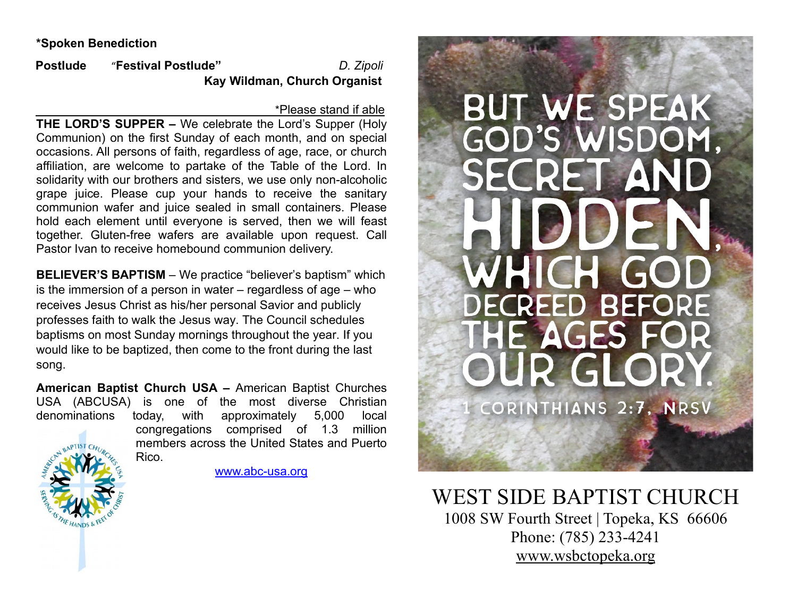#### **\*Spoken Benediction**

**Postlude** "**Festival Postlude"** *D. Zipoli*  **Kay Wildman, Church Organist**

#### \*Please stand if able

**THE LORD'S SUPPER –** We celebrate the Lord's Supper (Holy Communion) on the first Sunday of each month, and on special occasions. All persons of faith, regardless of age, race, or church affiliation, are welcome to partake of the Table of the Lord. In solidarity with our brothers and sisters, we use only non-alcoholic grape juice. Please cup your hands to receive the sanitary communion wafer and juice sealed in small containers. Please hold each element until everyone is served, then we will feast together. Gluten-free wafers are available upon request. Call Pastor Ivan to receive homebound communion delivery.

**BELIEVER'S BAPTISM** – We practice "believer's baptism" which is the immersion of a person in water – regardless of age – who receives Jesus Christ as his/her personal Savior and publicly professes faith to walk the Jesus way. The Council schedules baptisms on most Sunday mornings throughout the year. If you would like to be baptized, then come to the front during the last song.

**American Baptist Church USA –** American Baptist Churches USA (ABCUSA) is one of the most diverse Christian denominations today, with approximately 5,000 local congregations comprised of 1.3 million members across the United States and Puerto

Rico.



[www.abc-usa.org](http://www.abc-usa.org/)

**BUT WE SPEAK GOD'S WISDOM.** RET AND **THE REAL** DECREED BEFORE **HE AGES F** CORINTHIANS 2:7, NRSV

WEST SIDE BAPTIST CHURCH<br>1008 SW Fourth Street | Topeka, KS 66606 Phone: (785) 233-4241 [www.wsbctopeka.org](http://www.wsbctopeka.org/)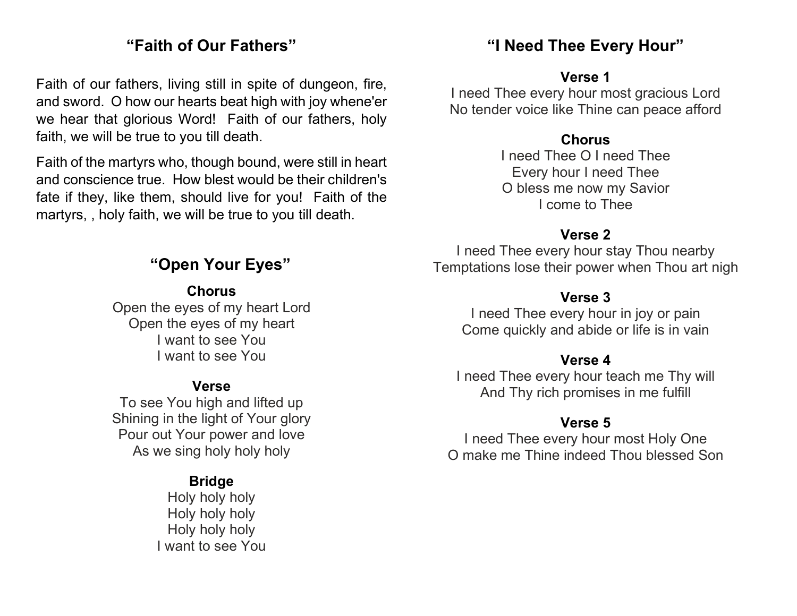## **"Faith of Our Fathers"**

Faith of our fathers, living still in spite of dungeon, fire, and sword. O how our hearts beat high with joy whene'er we hear that glorious Word! Faith of our fathers, holy faith, we will be true to you till death.

Faith of the martyrs who, though bound, were still in heart and conscience true. How blest would be their children's fate if they, like them, should live for you! Faith of the martyrs, , holy faith, we will be true to you till death.

## **"Open Your Eyes"**

**Chorus** 

Open the eyes of my heart Lord Open the eyes of my heart I want to see You I want to see You

### **Verse**

To see You high and lifted up Shining in the light of Your glory Pour out Your power and love As we sing holy holy holy

### **Bridge**

Holy holy holy Holy holy holy Holy holy holy I want to see You

## **"I Need Thee Every Hour"**

#### **Verse 1**

I need Thee every hour most gracious Lord No tender voice like Thine can peace afford

#### **Chorus**

I need Thee O I need Thee Every hour I need Thee O bless me now my Savior I come to Thee

### **Verse 2**

I need Thee every hour stay Thou nearby Temptations lose their power when Thou art nigh

### **Verse 3**

I need Thee every hour in joy or pain Come quickly and abide or life is in vain

### **Verse 4**

I need Thee every hour teach me Thy will And Thy rich promises in me fulfill

### **Verse 5**

I need Thee every hour most Holy One O make me Thine indeed Thou blessed Son